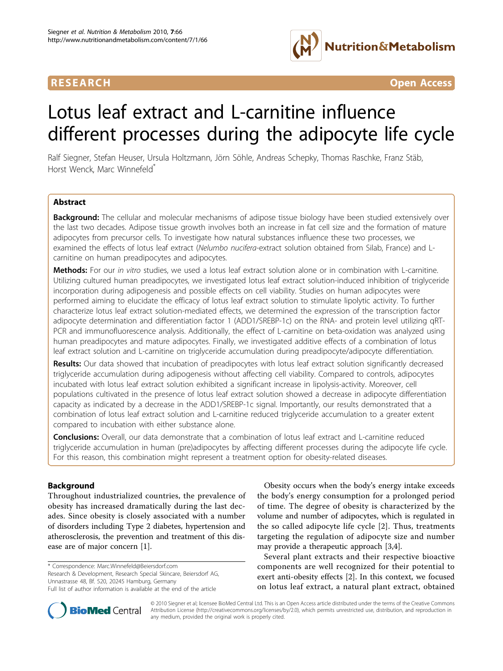

**RESEARCH Open Access** 

# Lotus leaf extract and L-carnitine influence different processes during the adipocyte life cycle

Ralf Siegner, Stefan Heuser, Ursula Holtzmann, Jörn Söhle, Andreas Schepky, Thomas Raschke, Franz Stäb, Horst Wenck, Marc Winnefeld\*

# Abstract

Background: The cellular and molecular mechanisms of adipose tissue biology have been studied extensively over the last two decades. Adipose tissue growth involves both an increase in fat cell size and the formation of mature adipocytes from precursor cells. To investigate how natural substances influence these two processes, we examined the effects of lotus leaf extract (Nelumbo nucifera-extract solution obtained from Silab, France) and Lcarnitine on human preadipocytes and adipocytes.

Methods: For our in vitro studies, we used a lotus leaf extract solution alone or in combination with L-carnitine. Utilizing cultured human preadipocytes, we investigated lotus leaf extract solution-induced inhibition of triglyceride incorporation during adipogenesis and possible effects on cell viability. Studies on human adipocytes were performed aiming to elucidate the efficacy of lotus leaf extract solution to stimulate lipolytic activity. To further characterize lotus leaf extract solution-mediated effects, we determined the expression of the transcription factor adipocyte determination and differentiation factor 1 (ADD1/SREBP-1c) on the RNA- and protein level utilizing qRT-PCR and immunofluorescence analysis. Additionally, the effect of L-carnitine on beta-oxidation was analyzed using human preadipocytes and mature adipocytes. Finally, we investigated additive effects of a combination of lotus leaf extract solution and L-carnitine on triglyceride accumulation during preadipocyte/adipocyte differentiation.

Results: Our data showed that incubation of preadipocytes with lotus leaf extract solution significantly decreased triglyceride accumulation during adipogenesis without affecting cell viability. Compared to controls, adipocytes incubated with lotus leaf extract solution exhibited a significant increase in lipolysis-activity. Moreover, cell populations cultivated in the presence of lotus leaf extract solution showed a decrease in adipocyte differentiation capacity as indicated by a decrease in the ADD1/SREBP-1c signal. Importantly, our results demonstrated that a combination of lotus leaf extract solution and L-carnitine reduced triglyceride accumulation to a greater extent compared to incubation with either substance alone.

**Conclusions:** Overall, our data demonstrate that a combination of lotus leaf extract and L-carnitine reduced triglyceride accumulation in human (pre)adipocytes by affecting different processes during the adipocyte life cycle. For this reason, this combination might represent a treatment option for obesity-related diseases.

### Background

Throughout industrialized countries, the prevalence of obesity has increased dramatically during the last decades. Since obesity is closely associated with a number of disorders including Type 2 diabetes, hypertension and atherosclerosis, the prevention and treatment of this disease are of major concern [[1\]](#page-8-0).

\* Correspondence: [Marc.Winnefeld@Beiersdorf.com](mailto:Marc.Winnefeld@Beiersdorf.com) Research & Development, Research Special Skincare, Beiersdorf AG, Unnastrasse 48, Bf. 520, 20245 Hamburg, Germany

Obesity occurs when the body's energy intake exceeds the body's energy consumption for a prolonged period of time. The degree of obesity is characterized by the volume and number of adipocytes, which is regulated in the so called adipocyte life cycle [\[2](#page-8-0)]. Thus, treatments targeting the regulation of adipocyte size and number may provide a therapeutic approach [\[3,4](#page-8-0)].

Several plant extracts and their respective bioactive components are well recognized for their potential to exert anti-obesity effects [[2](#page-8-0)]. In this context, we focused on lotus leaf extract, a natural plant extract, obtained



© 2010 Siegner et al; licensee BioMed Central Ltd. This is an Open Access article distributed under the terms of the Creative Commons Attribution License [\(http://creativecommons.org/licenses/by/2.0](http://creativecommons.org/licenses/by/2.0)), which permits unrestricted use, distribution, and reproduction in any medium, provided the original work is properly cited.

Full list of author information is available at the end of the article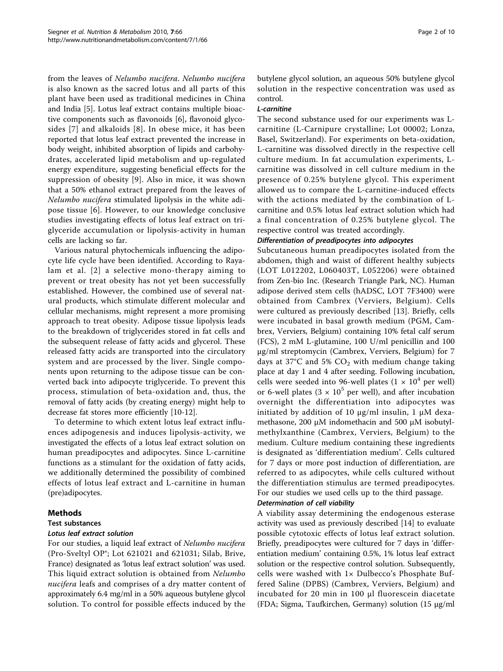from the leaves of Nelumbo nucifera. Nelumbo nucifera is also known as the sacred lotus and all parts of this plant have been used as traditional medicines in China and India [\[5](#page-8-0)]. Lotus leaf extract contains multiple bioactive components such as flavonoids [[6\]](#page-8-0), flavonoid glycosides [[7\]](#page-8-0) and alkaloids [[8](#page-8-0)]. In obese mice, it has been reported that lotus leaf extract prevented the increase in body weight, inhibited absorption of lipids and carbohydrates, accelerated lipid metabolism and up-regulated energy expenditure, suggesting beneficial effects for the suppression of obesity [\[9](#page-8-0)]. Also in mice, it was shown that a 50% ethanol extract prepared from the leaves of Nelumbo nucifera stimulated lipolysis in the white adipose tissue [\[6](#page-8-0)]. However, to our knowledge conclusive studies investigating effects of lotus leaf extract on triglyceride accumulation or lipolysis-activity in human cells are lacking so far.

Various natural phytochemicals influencing the adipocyte life cycle have been identified. According to Rayalam et al. [[2](#page-8-0)] a selective mono-therapy aiming to prevent or treat obesity has not yet been successfully established. However, the combined use of several natural products, which stimulate different molecular and cellular mechanisms, might represent a more promising approach to treat obesity. Adipose tissue lipolysis leads to the breakdown of triglycerides stored in fat cells and the subsequent release of fatty acids and glycerol. These released fatty acids are transported into the circulatory system and are processed by the liver. Single components upon returning to the adipose tissue can be converted back into adipocyte triglyceride. To prevent this process, stimulation of beta-oxidation and, thus, the removal of fatty acids (by creating energy) might help to decrease fat stores more efficiently [\[10](#page-8-0)-[12](#page-9-0)].

To determine to which extent lotus leaf extract influences adipogenesis and induces lipolysis-activity, we investigated the effects of a lotus leaf extract solution on human preadipocytes and adipocytes. Since L-carnitine functions as a stimulant for the oxidation of fatty acids, we additionally determined the possibility of combined effects of lotus leaf extract and L-carnitine in human (pre)adipocytes.

### Methods

### Test substances

### Lotus leaf extract solution

For our studies, a liquid leaf extract of Nelumbo nucifera (Pro-Sveltyl OP®; Lot 621021 and 621031; Silab, Brive, France) designated as 'lotus leaf extract solution' was used. This liquid extract solution is obtained from Nelumbo nucifera leafs and comprises of a dry matter content of approximately 6.4 mg/ml in a 50% aqueous butylene glycol solution. To control for possible effects induced by the butylene glycol solution, an aqueous 50% butylene glycol solution in the respective concentration was used as control.

#### L-carnitine

The second substance used for our experiments was Lcarnitine (L-Carnipure crystalline; Lot 00002; Lonza, Basel, Switzerland). For experiments on beta-oxidation, L-carnitine was dissolved directly in the respective cell culture medium. In fat accumulation experiments, Lcarnitine was dissolved in cell culture medium in the presence of 0.25% butylene glycol. This experiment allowed us to compare the L-carnitine-induced effects with the actions mediated by the combination of Lcarnitine and 0.5% lotus leaf extract solution which had a final concentration of 0.25% butylene glycol. The respective control was treated accordingly.

# Differentiation of preadipocytes into adipocytes

Subcutaneous human preadipocytes isolated from the abdomen, thigh and waist of different healthy subjects (LOT L012202, L060403T, L052206) were obtained from Zen-bio Inc. (Research Triangle Park, NC). Human adipose derived stem cells (hADSC, LOT 7F3400) were obtained from Cambrex (Verviers, Belgium). Cells were cultured as previously described [\[13](#page-9-0)]. Briefly, cells were incubated in basal growth medium (PGM, Cambrex, Verviers, Belgium) containing 10% fetal calf serum (FCS), 2 mM L-glutamine, 100 U/ml penicillin and 100 μg/ml streptomycin (Cambrex, Verviers, Belgium) for 7 days at 37°C and 5%  $CO<sub>2</sub>$  with medium change taking place at day 1 and 4 after seeding. Following incubation, cells were seeded into 96-well plates  $(1 \times 10^4$  per well) or 6-well plates (3  $\times$  10<sup>5</sup> per well), and after incubation overnight the differentiation into adipocytes was initiated by addition of 10  $\mu$ g/ml insulin, 1  $\mu$ M dexamethasone, 200 μM indomethacin and 500 μM isobutylmethylxanthine (Cambrex, Verviers, Belgium) to the medium. Culture medium containing these ingredients is designated as 'differentiation medium'. Cells cultured for 7 days or more post induction of differentiation, are referred to as adipocytes, while cells cultured without the differentiation stimulus are termed preadipocytes. For our studies we used cells up to the third passage.

### Determination of cell viability

A viability assay determining the endogenous esterase activity was used as previously described [[14\]](#page-9-0) to evaluate possible cytotoxic effects of lotus leaf extract solution. Briefly, preadipocytes were cultured for 7 days in 'differentiation medium' containing 0.5%, 1% lotus leaf extract solution or the respective control solution. Subsequently, cells were washed with 1× Dulbecco's Phosphate Buffered Saline (DPBS) (Cambrex, Verviers, Belgium) and incubated for 20 min in 100 μl fluorescein diacetate (FDA; Sigma, Taufkirchen, Germany) solution (15 μg/ml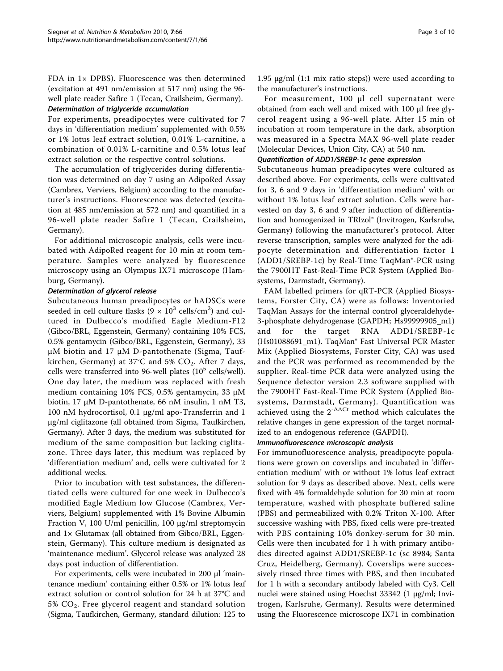FDA in 1× DPBS). Fluorescence was then determined (excitation at 491 nm/emission at 517 nm) using the 96 well plate reader Safire 1 (Tecan, Crailsheim, Germany). Determination of triglyceride accumulation

For experiments, preadipocytes were cultivated for 7 days in 'differentiation medium' supplemented with 0.5% or 1% lotus leaf extract solution, 0.01% L-carnitine, a combination of 0.01% L-carnitine and 0.5% lotus leaf extract solution or the respective control solutions.

The accumulation of triglycerides during differentiation was determined on day 7 using an AdipoRed Assay (Cambrex, Verviers, Belgium) according to the manufacturer's instructions. Fluorescence was detected (excitation at 485 nm/emission at 572 nm) and quantified in a 96-well plate reader Safire 1 (Tecan, Crailsheim, Germany).

For additional microscopic analysis, cells were incubated with AdipoRed reagent for 10 min at room temperature. Samples were analyzed by fluorescence microscopy using an Olympus IX71 microscope (Hamburg, Germany).

### Determination of glycerol release

Subcutaneous human preadipocytes or hADSCs were seeded in cell culture flasks (9  $\times$  10<sup>3</sup> cells/cm<sup>2</sup>) and cultured in Dulbecco's modified Eagle Medium-F12 (Gibco/BRL, Eggenstein, Germany) containing 10% FCS, 0.5% gentamycin (Gibco/BRL, Eggenstein, Germany), 33 μM biotin and 17 μM D-pantothenate (Sigma, Taufkirchen, Germany) at 37°C and 5%  $CO<sub>2</sub>$ . After 7 days, cells were transferred into 96-well plates  $(10^5 \text{ cells/well}).$ One day later, the medium was replaced with fresh medium containing 10% FCS, 0.5% gentamycin, 33 μM biotin, 17 μM D-pantothenate, 66 nM insulin, 1 nM T3, 100 nM hydrocortisol, 0.1 μg/ml apo-Transferrin and 1 μg/ml ciglitazone (all obtained from Sigma, Taufkirchen, Germany). After 3 days, the medium was substituted for medium of the same composition but lacking ciglitazone. Three days later, this medium was replaced by 'differentiation medium' and, cells were cultivated for 2 additional weeks.

Prior to incubation with test substances, the differentiated cells were cultured for one week in Dulbecco's modified Eagle Medium low Glucose (Cambrex, Verviers, Belgium) supplemented with 1% Bovine Albumin Fraction V, 100 U/ml penicillin, 100 μg/ml streptomycin and 1× Glutamax (all obtained from Gibco/BRL, Eggenstein, Germany). This culture medium is designated as 'maintenance medium'. Glycerol release was analyzed 28 days post induction of differentiation.

For experiments, cells were incubated in 200 μl 'maintenance medium' containing either 0.5% or 1% lotus leaf extract solution or control solution for 24 h at 37°C and  $5\%$  CO<sub>2</sub>. Free glycerol reagent and standard solution (Sigma, Taufkirchen, Germany, standard dilution: 125 to

1.95 μg/ml (1:1 mix ratio steps)) were used according to the manufacturer's instructions.

For measurement, 100 μl cell supernatant were obtained from each well and mixed with 100 μl free glycerol reagent using a 96-well plate. After 15 min of incubation at room temperature in the dark, absorption was measured in a Spectra MAX 96-well plate reader (Molecular Devices, Union City, CA) at 540 nm.

#### Quantification of ADD1/SREBP-1c gene expression

Subcutaneous human preadipocytes were cultured as described above. For experiments, cells were cultivated for 3, 6 and 9 days in 'differentiation medium' with or without 1% lotus leaf extract solution. Cells were harvested on day 3, 6 and 9 after induction of differentiation and homogenized in TRIzol® (Invitrogen, Karlsruhe, Germany) following the manufacturer's protocol. After reverse transcription, samples were analyzed for the adipocyte determination and differentiation factor 1 (ADD1/SREBP-1c) by Real-Time TaqMan®-PCR using the 7900HT Fast-Real-Time PCR System (Applied Biosystems, Darmstadt, Germany).

FAM labelled primers for qRT-PCR (Applied Biosystems, Forster City, CA) were as follows: Inventoried TaqMan Assays for the internal control glyceraldehyde-3-phosphate dehydrogenase (GAPDH; Hs99999905\_m1) and for the target RNA ADD1/SREBP-1c (Hs01088691\_m1). TaqMan® Fast Universal PCR Master Mix (Applied Biosystems, Forster City, CA) was used and the PCR was performed as recommended by the supplier. Real-time PCR data were analyzed using the Sequence detector version 2.3 software supplied with the 7900HT Fast-Real-Time PCR System (Applied Biosystems, Darmstadt, Germany). Quantification was achieved using the  $2^{-\Delta\Delta Ct}$  method which calculates the relative changes in gene expression of the target normalized to an endogenous reference (GAPDH).

### Immunofluorescence microscopic analysis

For immunofluorescence analysis, preadipocyte populations were grown on coverslips and incubated in 'differentiation medium' with or without 1% lotus leaf extract solution for 9 days as described above. Next, cells were fixed with 4% formaldehyde solution for 30 min at room temperature, washed with phosphate buffered saline (PBS) and permeabilized with 0.2% Triton X-100. After successive washing with PBS, fixed cells were pre-treated with PBS containing 10% donkey-serum for 30 min. Cells were then incubated for 1 h with primary antibodies directed against ADD1/SREBP-1c (sc 8984; Santa Cruz, Heidelberg, Germany). Coverslips were successively rinsed three times with PBS, and then incubated for 1 h with a secondary antibody labeled with Cy3. Cell nuclei were stained using Hoechst 33342 (1 μg/ml; Invitrogen, Karlsruhe, Germany). Results were determined using the Fluorescence microscope IX71 in combination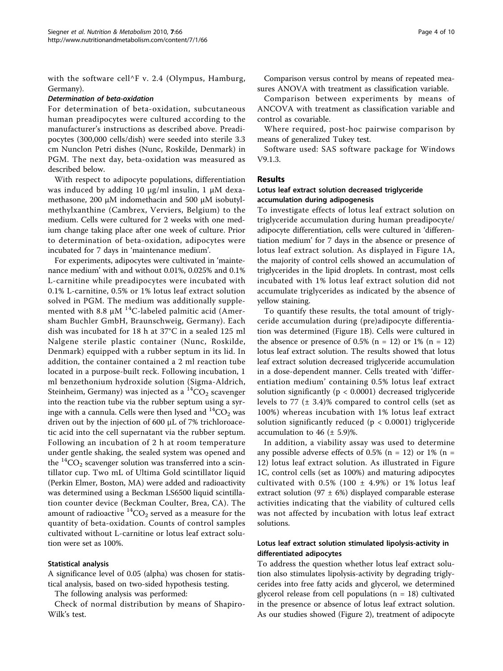with the software cell^F v. 2.4 (Olympus, Hamburg, Germany).

#### Determination of beta-oxidation

For determination of beta-oxidation, subcutaneous human preadipocytes were cultured according to the manufacturer's instructions as described above. Preadipocytes (300,000 cells/dish) were seeded into sterile 3.3 cm Nunclon Petri dishes (Nunc, Roskilde, Denmark) in PGM. The next day, beta-oxidation was measured as described below.

With respect to adipocyte populations, differentiation was induced by adding 10  $\mu$ g/ml insulin, 1  $\mu$ M dexamethasone, 200 μM indomethacin and 500 μM isobutylmethylxanthine (Cambrex, Verviers, Belgium) to the medium. Cells were cultured for 2 weeks with one medium change taking place after one week of culture. Prior to determination of beta-oxidation, adipocytes were incubated for 7 days in 'maintenance medium'.

For experiments, adipocytes were cultivated in 'maintenance medium' with and without 0.01%, 0.025% and 0.1% L-carnitine while preadipocytes were incubated with 0.1% L-carnitine, 0.5% or 1% lotus leaf extract solution solved in PGM. The medium was additionally supplemented with 8.8  $\mu$ M <sup>14</sup>C-labeled palmitic acid (Amersham Buchler GmbH, Braunschweig, Germany). Each dish was incubated for 18 h at 37°C in a sealed 125 ml Nalgene sterile plastic container (Nunc, Roskilde, Denmark) equipped with a rubber septum in its lid. In addition, the container contained a 2 ml reaction tube located in a purpose-built reck. Following incubation, 1 ml benzethonium hydroxide solution (Sigma-Aldrich, Steinheim, Germany) was injected as a  ${}^{14}CO_2$  scavenger into the reaction tube via the rubber septum using a syringe with a cannula. Cells were then lysed and  ${}^{14}CO_2$  was driven out by the injection of 600 μL of 7% trichloroacetic acid into the cell supernatant via the rubber septum. Following an incubation of 2 h at room temperature under gentle shaking, the sealed system was opened and the  ${}^{14}CO_2$  scavenger solution was transferred into a scintillator cup. Two mL of Ultima Gold scintillator liquid (Perkin Elmer, Boston, MA) were added and radioactivity was determined using a Beckman LS6500 liquid scintillation counter device (Beckman Coulter, Brea, CA). The amount of radioactive  ${}^{14}CO_2$  served as a measure for the quantity of beta-oxidation. Counts of control samples cultivated without L-carnitine or lotus leaf extract solution were set as 100%.

#### Statistical analysis

A significance level of 0.05 (alpha) was chosen for statistical analysis, based on two-sided hypothesis testing.

The following analysis was performed:

Check of normal distribution by means of Shapiro-Wilk's test.

Comparison versus control by means of repeated measures ANOVA with treatment as classification variable.

Comparison between experiments by means of ANCOVA with treatment as classification variable and control as covariable.

Where required, post-hoc pairwise comparison by means of generalized Tukey test.

Software used: SAS software package for Windows V9.1.3.

#### Results

#### Lotus leaf extract solution decreased triglyceride accumulation during adipogenesis

To investigate effects of lotus leaf extract solution on triglyceride accumulation during human preadipocyte/ adipocyte differentiation, cells were cultured in 'differentiation medium' for 7 days in the absence or presence of lotus leaf extract solution. As displayed in Figure [1A](#page-4-0), the majority of control cells showed an accumulation of triglycerides in the lipid droplets. In contrast, most cells incubated with 1% lotus leaf extract solution did not accumulate triglycerides as indicated by the absence of yellow staining.

To quantify these results, the total amount of triglyceride accumulation during (pre)adipocyte differentiation was determined (Figure [1B](#page-4-0)). Cells were cultured in the absence or presence of 0.5% (n = 12) or 1% (n = 12) lotus leaf extract solution. The results showed that lotus leaf extract solution decreased triglyceride accumulation in a dose-dependent manner. Cells treated with 'differentiation medium' containing 0.5% lotus leaf extract solution significantly ( $p < 0.0001$ ) decreased triglyceride levels to 77  $(\pm 3.4)$ % compared to control cells (set as 100%) whereas incubation with 1% lotus leaf extract solution significantly reduced ( $p < 0.0001$ ) triglyceride accumulation to 46 ( $\pm$  5.9)%.

In addition, a viability assay was used to determine any possible adverse effects of 0.5% ( $n = 12$ ) or 1% ( $n =$ 12) lotus leaf extract solution. As illustrated in Figure [1C](#page-4-0), control cells (set as 100%) and maturing adipocytes cultivated with  $0.5\%$  (100  $\pm$  4.9%) or 1% lotus leaf extract solution (97  $\pm$  6%) displayed comparable esterase activities indicating that the viability of cultured cells was not affected by incubation with lotus leaf extract solutions.

#### Lotus leaf extract solution stimulated lipolysis-activity in differentiated adipocytes

To address the question whether lotus leaf extract solution also stimulates lipolysis-activity by degrading triglycerides into free fatty acids and glycerol, we determined glycerol release from cell populations ( $n = 18$ ) cultivated in the presence or absence of lotus leaf extract solution. As our studies showed (Figure [2](#page-4-0)), treatment of adipocyte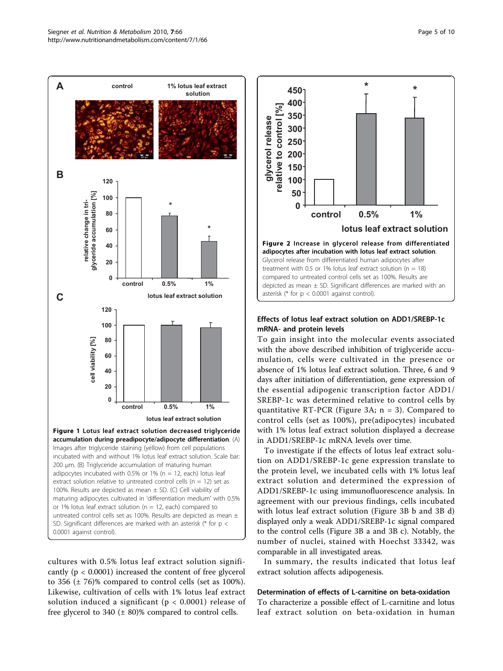<span id="page-4-0"></span>

or 1% lotus leaf extract solution ( $n = 12$ , each) compared to untreated control cells set as 100%. Results are depicted as mean  $\pm$ SD. Significant differences are marked with an asterisk (\* for p < 0.0001 against control).

cultures with 0.5% lotus leaf extract solution significantly ( $p < 0.0001$ ) increased the content of free glycerol to 356  $(\pm 76)$ % compared to control cells (set as 100%). Likewise, cultivation of cells with 1% lotus leaf extract solution induced a significant ( $p < 0.0001$ ) release of free glycerol to  $340 (\pm 80)$ % compared to control cells.



## Effects of lotus leaf extract solution on ADD1/SREBP-1c mRNA- and protein levels

To gain insight into the molecular events associated with the above described inhibition of triglyceride accumulation, cells were cultivated in the presence or absence of 1% lotus leaf extract solution. Three, 6 and 9 days after initiation of differentiation, gene expression of the essential adipogenic transcription factor ADD1/ SREBP-1c was determined relative to control cells by quantitative RT-PCR (Figure [3A;](#page-5-0)  $n = 3$ ). Compared to control cells (set as 100%), pre(adipocytes) incubated with 1% lotus leaf extract solution displayed a decrease in ADD1/SREBP-1c mRNA levels over time.

To investigate if the effects of lotus leaf extract solution on ADD1/SREBP-1c gene expression translate to the protein level, we incubated cells with 1% lotus leaf extract solution and determined the expression of ADD1/SREBP-1c using immunofluorescence analysis. In agreement with our previous findings, cells incubated with lotus leaf extract solution (Figure [3B b](#page-5-0) and [3B d](#page-5-0)) displayed only a weak ADD1/SREBP-1c signal compared to the control cells (Figure [3B a](#page-5-0) and [3B c\)](#page-5-0). Notably, the number of nuclei, stained with Hoechst 33342, was comparable in all investigated areas.

In summary, the results indicated that lotus leaf extract solution affects adipogenesis.

### Determination of effects of L-carnitine on beta-oxidation

To characterize a possible effect of L-carnitine and lotus leaf extract solution on beta-oxidation in human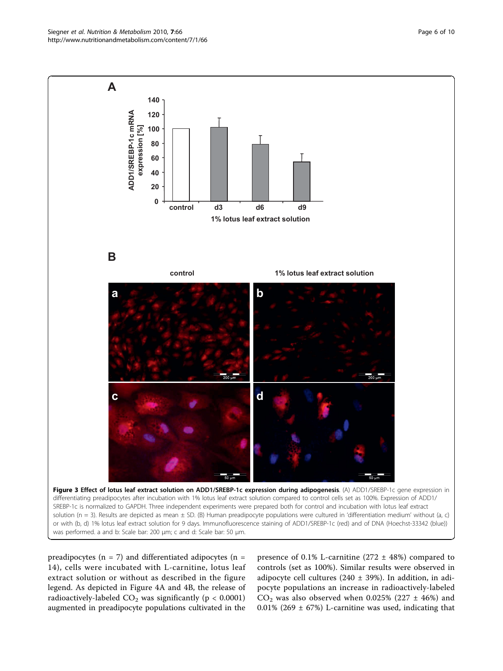preadipocytes ( $n = 7$ ) and differentiated adipocytes ( $n =$ 14), cells were incubated with L-carnitine, lotus leaf extract solution or without as described in the figure legend. As depicted in Figure [4A](#page-6-0) and [4B,](#page-6-0) the release of radioactively-labeled  $CO<sub>2</sub>$  was significantly (p < 0.0001) augmented in preadipocyte populations cultivated in the

was performed. a and b: Scale bar: 200 μm; c and d: Scale bar: 50 μm.

presence of 0.1% L-carnitine (272  $\pm$  48%) compared to controls (set as 100%). Similar results were observed in adipocyte cell cultures (240  $\pm$  39%). In addition, in adipocyte populations an increase in radioactively-labeled  $CO<sub>2</sub>$  was also observed when 0.025% (227  $\pm$  46%) and 0.01% (269  $\pm$  67%) L-carnitine was used, indicating that

<span id="page-5-0"></span>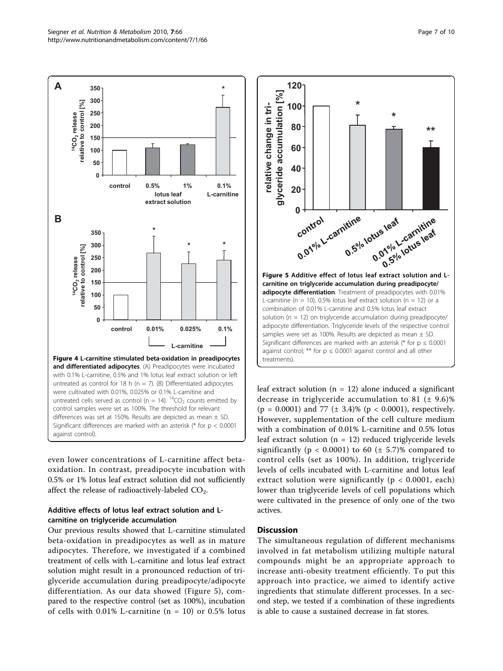<span id="page-6-0"></span>

differences was set at 150%. Results are depicted as mean  $\pm$  SD. Significant differences are marked with an asterisk (\* for p < 0.0001 against control).

even lower concentrations of L-carnitine affect betaoxidation. In contrast, preadipocyte incubation with 0.5% or 1% lotus leaf extract solution did not sufficiently affect the release of radioactively-labeled  $CO<sub>2</sub>$ .

# Additive effects of lotus leaf extract solution and Lcarnitine on triglyceride accumulation

Our previous results showed that L-carnitine stimulated beta-oxidation in preadipocytes as well as in mature adipocytes. Therefore, we investigated if a combined treatment of cells with L-carnitine and lotus leaf extract solution might result in a pronounced reduction of triglyceride accumulation during preadipocyte/adipocyte differentiation. As our data showed (Figure 5), compared to the respective control (set as 100%), incubation of cells with 0.01% L-carnitine (n = 10) or 0.5% lotus



leaf extract solution  $(n = 12)$  alone induced a significant decrease in triglyceride accumulation to 81 ( $\pm$  9.6)%  $(p = 0.0001)$  and 77 ( $\pm$  3.4)% ( $p < 0.0001$ ), respectively. However, supplementation of the cell culture medium with a combination of 0.01% L-carnitine and 0.5% lotus leaf extract solution  $(n = 12)$  reduced triglyceride levels significantly ( $p < 0.0001$ ) to 60 ( $\pm$  5.7)% compared to control cells (set as 100%). In addition, triglyceride levels of cells incubated with L-carnitine and lotus leaf extract solution were significantly ( $p < 0.0001$ , each) lower than triglyceride levels of cell populations which were cultivated in the presence of only one of the two actives.

# **Discussion**

The simultaneous regulation of different mechanisms involved in fat metabolism utilizing multiple natural compounds might be an appropriate approach to increase anti-obesity treatment efficiently. To put this approach into practice, we aimed to identify active ingredients that stimulate different processes. In a second step, we tested if a combination of these ingredients is able to cause a sustained decrease in fat stores.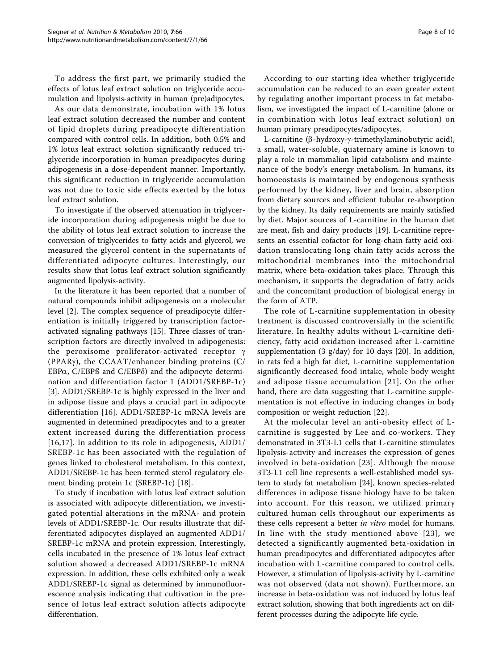To address the first part, we primarily studied the effects of lotus leaf extract solution on triglyceride accumulation and lipolysis-activity in human (pre)adipocytes.

As our data demonstrate, incubation with 1% lotus leaf extract solution decreased the number and content of lipid droplets during preadipocyte differentiation compared with control cells. In addition, both 0.5% and 1% lotus leaf extract solution significantly reduced triglyceride incorporation in human preadipocytes during adipogenesis in a dose-dependent manner. Importantly, this significant reduction in triglyceride accumulation was not due to toxic side effects exerted by the lotus leaf extract solution.

To investigate if the observed attenuation in triglyceride incorporation during adipogenesis might be due to the ability of lotus leaf extract solution to increase the conversion of triglycerides to fatty acids and glycerol, we measured the glycerol content in the supernatants of differentiated adipocyte cultures. Interestingly, our results show that lotus leaf extract solution significantly augmented lipolysis-activity.

In the literature it has been reported that a number of natural compounds inhibit adipogenesis on a molecular level [\[2](#page-8-0)]. The complex sequence of preadipocyte differentiation is initially triggered by transcription factoractivated signaling pathways [\[15](#page-9-0)]. Three classes of transcription factors are directly involved in adipogenesis: the peroxisome proliferator-activated receptor  $\gamma$ (PPAR $\gamma$ ), the CCAAT/enhancer binding proteins (C/ EBP $\alpha$ , C/EBPß and C/EBP $\delta$ ) and the adipocyte determination and differentiation factor 1 (ADD1/SREBP-1c) [[3\]](#page-8-0). ADD1/SREBP-1c is highly expressed in the liver and in adipose tissue and plays a crucial part in adipocyte differentiation [[16\]](#page-9-0). ADD1/SREBP-1c mRNA levels are augmented in determined preadipocytes and to a greater extent increased during the differentiation process [[16](#page-9-0),[17\]](#page-9-0). In addition to its role in adipogenesis, ADD1/ SREBP-1c has been associated with the regulation of genes linked to cholesterol metabolism. In this context, ADD1/SREBP-1c has been termed sterol regulatory element binding protein 1c (SREBP-1c) [[18](#page-9-0)].

To study if incubation with lotus leaf extract solution is associated with adipocyte differentiation, we investigated potential alterations in the mRNA- and protein levels of ADD1/SREBP-1c. Our results illustrate that differentiated adipocytes displayed an augmented ADD1/ SREBP-1c mRNA and protein expression. Interestingly, cells incubated in the presence of 1% lotus leaf extract solution showed a decreased ADD1/SREBP-1c mRNA expression. In addition, these cells exhibited only a weak ADD1/SREBP-1c signal as determined by immunofluorescence analysis indicating that cultivation in the presence of lotus leaf extract solution affects adipocyte differentiation.

According to our starting idea whether triglyceride accumulation can be reduced to an even greater extent by regulating another important process in fat metabolism, we investigated the impact of L-carnitine (alone or in combination with lotus leaf extract solution) on human primary preadipocytes/adipocytes.

L-carnitine (b-hydroxy-g-trimethylaminobutyric acid), a small, water-soluble, quaternary amine is known to play a role in mammalian lipid catabolism and maintenance of the body's energy metabolism. In humans, its homoeostasis is maintained by endogenous synthesis performed by the kidney, liver and brain, absorption from dietary sources and efficient tubular re-absorption by the kidney. Its daily requirements are mainly satisfied by diet. Major sources of L-carnitine in the human diet are meat, fish and dairy products [\[19](#page-9-0)]. L-carnitine represents an essential cofactor for long-chain fatty acid oxidation translocating long chain fatty acids across the mitochondrial membranes into the mitochondrial matrix, where beta-oxidation takes place. Through this mechanism, it supports the degradation of fatty acids and the concomitant production of biological energy in the form of ATP.

The role of L-carnitine supplementation in obesity treatment is discussed controversially in the scientific literature. In healthy adults without L-carnitine deficiency, fatty acid oxidation increased after L-carnitine supplementation (3 g/day) for 10 days [\[20](#page-9-0)]. In addition, in rats fed a high fat diet, L-carnitine supplementation significantly decreased food intake, whole body weight and adipose tissue accumulation [[21\]](#page-9-0). On the other hand, there are data suggesting that L-carnitine supplementation is not effective in inducing changes in body composition or weight reduction [[22\]](#page-9-0).

At the molecular level an anti-obesity effect of Lcarnitine is suggested by Lee and co-workers. They demonstrated in 3T3-L1 cells that L-carnitine stimulates lipolysis-activity and increases the expression of genes involved in beta-oxidation [[23\]](#page-9-0). Although the mouse 3T3-L1 cell line represents a well-established model system to study fat metabolism [[24\]](#page-9-0), known species-related differences in adipose tissue biology have to be taken into account. For this reason, we utilized primary cultured human cells throughout our experiments as these cells represent a better in vitro model for humans. In line with the study mentioned above [[23](#page-9-0)], we detected a significantly augmented beta-oxidation in human preadipocytes and differentiated adipocytes after incubation with L-carnitine compared to control cells. However, a stimulation of lipolysis-activity by L-carnitine was not observed (data not shown). Furthermore, an increase in beta-oxidation was not induced by lotus leaf extract solution, showing that both ingredients act on different processes during the adipocyte life cycle.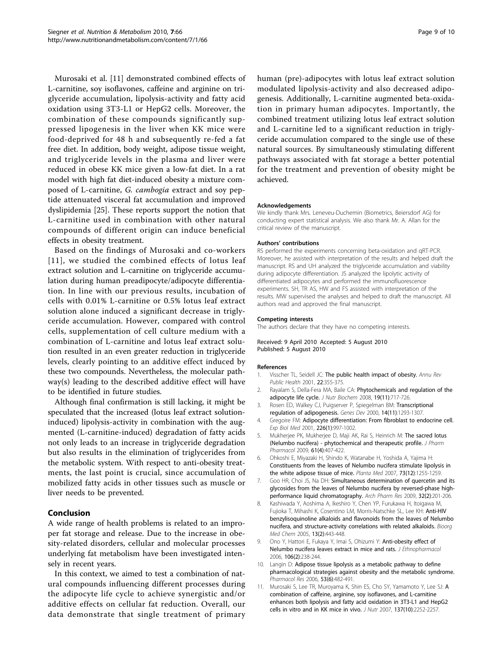<span id="page-8-0"></span>Murosaki et al. [11] demonstrated combined effects of L-carnitine, soy isoflavones, caffeine and arginine on triglyceride accumulation, lipolysis-activity and fatty acid oxidation using 3T3-L1 or HepG2 cells. Moreover, the combination of these compounds significantly suppressed lipogenesis in the liver when KK mice were food-deprived for 48 h and subsequently re-fed a fat free diet. In addition, body weight, adipose tissue weight, and triglyceride levels in the plasma and liver were reduced in obese KK mice given a low-fat diet. In a rat model with high fat diet-induced obesity a mixture composed of L-carnitine, G. cambogia extract and soy peptide attenuated visceral fat accumulation and improved dyslipidemia [\[25](#page-9-0)]. These reports support the notion that L-carnitine used in combination with other natural compounds of different origin can induce beneficial effects in obesity treatment.

Based on the findings of Murosaki and co-workers [11], we studied the combined effects of lotus leaf extract solution and L-carnitine on triglyceride accumulation during human preadipocyte/adipocyte differentiation. In line with our previous results, incubation of cells with 0.01% L-carnitine or 0.5% lotus leaf extract solution alone induced a significant decrease in triglyceride accumulation. However, compared with control cells, supplementation of cell culture medium with a combination of L-carnitine and lotus leaf extract solution resulted in an even greater reduction in triglyceride levels, clearly pointing to an additive effect induced by these two compounds. Nevertheless, the molecular pathway(s) leading to the described additive effect will have to be identified in future studies.

Although final confirmation is still lacking, it might be speculated that the increased (lotus leaf extract solutioninduced) lipolysis-activity in combination with the augmented (L-carnitine-induced) degradation of fatty acids not only leads to an increase in triglyceride degradation but also results in the elimination of triglycerides from the metabolic system. With respect to anti-obesity treatments, the last point is crucial, since accumulation of mobilized fatty acids in other tissues such as muscle or liver needs to be prevented.

### Conclusion

A wide range of health problems is related to an improper fat storage and release. Due to the increase in obesity-related disorders, cellular and molecular processes underlying fat metabolism have been investigated intensely in recent years.

In this context, we aimed to test a combination of natural compounds influencing different processes during the adipocyte life cycle to achieve synergistic and/or additive effects on cellular fat reduction. Overall, our data demonstrate that single treatment of primary human (pre)-adipocytes with lotus leaf extract solution modulated lipolysis-activity and also decreased adipogenesis. Additionally, L-carnitine augmented beta-oxidation in primary human adipocytes. Importantly, the combined treatment utilizing lotus leaf extract solution and L-carnitine led to a significant reduction in triglyceride accumulation compared to the single use of these natural sources. By simultaneously stimulating different pathways associated with fat storage a better potential for the treatment and prevention of obesity might be achieved.

#### Acknowledgements

We kindly thank Mrs. Leneveu-Duchemin (Biometrics, Beiersdorf AG) for conducting expert statistical analysis. We also thank Mr. A. Allan for the critical review of the manuscript.

#### Authors' contributions

RS performed the experiments concerning beta-oxidation and qRT-PCR. Moreover, he assisted with interpretation of the results and helped draft the manuscript. RS and UH analyzed the triglyceride accumulation and viability during adipocyte differentiation. JS analyzed the lipolytic activity of differentiated adipocytes and performed the immunofluorescence experiments. SH, TR AS, HW and FS assisted with interpretation of the results. MW supervised the analyses and helped to draft the manuscript. All authors read and approved the final manuscript.

#### Competing interests

The authors declare that they have no competing interests.

#### Received: 9 April 2010 Accepted: 5 August 2010 Published: 5 August 2010

#### References

- Visscher TL, Seidell JC: [The public health impact of obesity.](http://www.ncbi.nlm.nih.gov/pubmed/11274526?dopt=Abstract) Annu Rev Public Health 2001, 22:355-375.
- 2. Rayalam S, Della-Fera MA, Baile CA: [Phytochemicals and regulation of the](http://www.ncbi.nlm.nih.gov/pubmed/18495457?dopt=Abstract) [adipocyte life cycle.](http://www.ncbi.nlm.nih.gov/pubmed/18495457?dopt=Abstract) J Nutr Biochem 2008, 19(11):717-726.
- 3. Rosen ED, Walkey CJ, Puigserver P, Spiegelman BM: [Transcriptional](http://www.ncbi.nlm.nih.gov/pubmed/10837022?dopt=Abstract) [regulation of adipogenesis.](http://www.ncbi.nlm.nih.gov/pubmed/10837022?dopt=Abstract) Genes Dev 2000, 14(11):1293-1307.
- 4. Gregoire FM: Adipocyte differentiation: From fibroblast to endocrine cell. Exp Biol Med 2001, 226(1):997-1002.
- 5. Mukherjee PK, Mukherjee D, Maji AK, Rai S, Heinrich M: [The sacred lotus](http://www.ncbi.nlm.nih.gov/pubmed/19298686?dopt=Abstract) [\(Nelumbo nucifera\) - phytochemical and therapeutic profile.](http://www.ncbi.nlm.nih.gov/pubmed/19298686?dopt=Abstract) J Pharm Pharmacol 2009, 61(4):407-422.
- 6. Ohkoshi E, Miyazaki H, Shindo K, Watanabe H, Yoshida A, Yajima H: [Constituents from the leaves of Nelumbo nucifera stimulate lipolysis in](http://www.ncbi.nlm.nih.gov/pubmed/17893829?dopt=Abstract) [the white adipose tissue of mice.](http://www.ncbi.nlm.nih.gov/pubmed/17893829?dopt=Abstract) Planta Med 2007, 73(12):1255-1259.
- 7. Goo HR, Choi JS, Na DH: [Simultaneous determination of quercetin and its](http://www.ncbi.nlm.nih.gov/pubmed/19280149?dopt=Abstract) [glycosides from the leaves of Nelumbo nucifera by reversed-phase high](http://www.ncbi.nlm.nih.gov/pubmed/19280149?dopt=Abstract)[performance liquid chromatography.](http://www.ncbi.nlm.nih.gov/pubmed/19280149?dopt=Abstract) Arch Pharm Res 2009, 32(2):201-206.
- 8. Kashiwada Y, Aoshima A, Ikeshiro Y, Chen YP, Furukawa H, Itoigawa M, Fujioka T, Mihashi K, Cosentino LM, Morris-Natschke SL, Lee KH: [Anti-HIV](http://www.ncbi.nlm.nih.gov/pubmed/15598565?dopt=Abstract) [benzylisoquinoline alkaloids and flavonoids from the leaves of Nelumbo](http://www.ncbi.nlm.nih.gov/pubmed/15598565?dopt=Abstract) [nucifera, and structure-activity correlations with related alkaloids.](http://www.ncbi.nlm.nih.gov/pubmed/15598565?dopt=Abstract) Bioorg Med Chem 2005, 13(2):443-448.
- 9. Ono Y, Hattori E, Fukaya Y, Imai S, Ohizumi Y: [Anti-obesity effect of](http://www.ncbi.nlm.nih.gov/pubmed/16495025?dopt=Abstract) [Nelumbo nucifera leaves extract in mice and rats.](http://www.ncbi.nlm.nih.gov/pubmed/16495025?dopt=Abstract) J Ethnopharmacol 2006, 106(2):238-244.
- 10. Langin D: [Adipose tissue lipolysis as a metabolic pathway to define](http://www.ncbi.nlm.nih.gov/pubmed/16644234?dopt=Abstract) [pharmacological strategies against obesity and the metabolic syndrome.](http://www.ncbi.nlm.nih.gov/pubmed/16644234?dopt=Abstract) Pharmacol Res 2006, 53(6):482-491.
- 11. Murosaki S, Lee TR, Muroyama K, Shin ES, Cho SY, Yamamoto Y, Lee SJ: [A](http://www.ncbi.nlm.nih.gov/pubmed/17885007?dopt=Abstract) [combination of caffeine, arginine, soy isoflavones, and L-carnitine](http://www.ncbi.nlm.nih.gov/pubmed/17885007?dopt=Abstract) [enhances both lipolysis and fatty acid oxidation in 3T3-L1 and HepG2](http://www.ncbi.nlm.nih.gov/pubmed/17885007?dopt=Abstract) [cells in vitro and in KK mice in vivo.](http://www.ncbi.nlm.nih.gov/pubmed/17885007?dopt=Abstract) J Nutr 2007, 137(10):2252-2257.